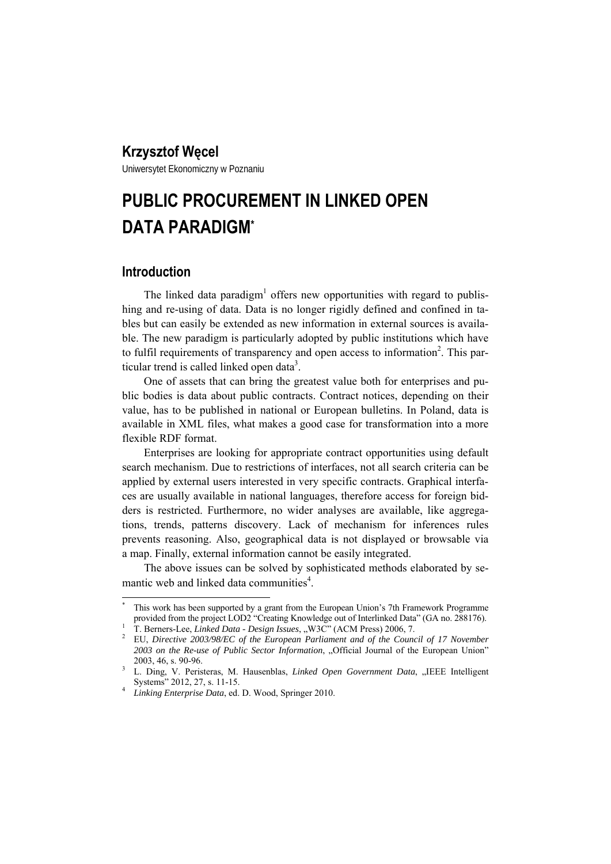# **Krzysztof Węcel**

Uniwersytet Ekonomiczny w Poznaniu

# **PUBLIC PROCUREMENT IN LINKED OPEN DATA PARADIGM\***

# **Introduction**

 $\overline{\phantom{a}}$ 

The linked data paradigm<sup>1</sup> offers new opportunities with regard to publishing and re-using of data. Data is no longer rigidly defined and confined in tables but can easily be extended as new information in external sources is available. The new paradigm is particularly adopted by public institutions which have to fulfil requirements of transparency and open access to information<sup>2</sup>. This particular trend is called linked open data<sup>3</sup>.

One of assets that can bring the greatest value both for enterprises and public bodies is data about public contracts. Contract notices, depending on their value, has to be published in national or European bulletins. In Poland, data is available in XML files, what makes a good case for transformation into a more flexible RDF format.

Enterprises are looking for appropriate contract opportunities using default search mechanism. Due to restrictions of interfaces, not all search criteria can be applied by external users interested in very specific contracts. Graphical interfaces are usually available in national languages, therefore access for foreign bidders is restricted. Furthermore, no wider analyses are available, like aggregations, trends, patterns discovery. Lack of mechanism for inferences rules prevents reasoning. Also, geographical data is not displayed or browsable via a map. Finally, external information cannot be easily integrated.

The above issues can be solved by sophisticated methods elaborated by semantic web and linked data communities<sup>4</sup>.

<sup>\*</sup> This work has been supported by a grant from the European Union's 7th Framework Programme provided from the project LOD2 "Creating Knowledge out of Interlinked Data" (GA no. 288176). 1

T. Berners-Lee, *Linked Data - Design Issues*, "W3C" (ACM Press) 2006, 7.

EU, *Directive 2003/98/EC of the European Parliament and of the Council of 17 November*  2003 on the Re-use of Public Sector Information, "Official Journal of the European Union" 2003, 46, s. 90-96. 2003, 46, s. 90-96.<br><sup>3</sup> L. Ding, V. Peristeras, M. Hausenblas, *Linked Open Government Data*, "IEEE Intelligent

Systems" 2012, 27, s. 11-15. 4

*Linking Enterprise Data*, ed. D. Wood, Springer 2010.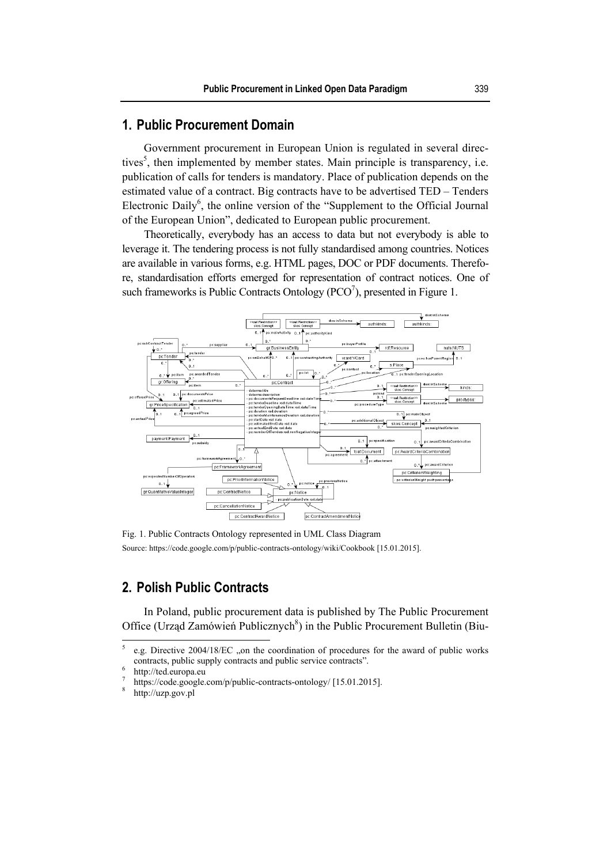# **1. Public Procurement Domain**

Government procurement in European Union is regulated in several directives<sup>5</sup>, then implemented by member states. Main principle is transparency, i.e. publication of calls for tenders is mandatory. Place of publication depends on the estimated value of a contract. Big contracts have to be advertised TED – Tenders Electronic Daily $<sup>6</sup>$ , the online version of the "Supplement to the Official Journal</sup> of the European Union", dedicated to European public procurement.

Theoretically, everybody has an access to data but not everybody is able to leverage it. The tendering process is not fully standardised among countries. Notices are available in various forms, e.g. HTML pages, DOC or PDF documents. Therefore, standardisation efforts emerged for representation of contract notices. One of such frameworks is Public Contracts Ontology  $(PCO<sup>7</sup>)$ , presented in Figure 1.



Fig. 1. Public Contracts Ontology represented in UML Class Diagram Source: https://code.google.com/p/public-contracts-ontology/wiki/Cookbook [15.01.2015].

# **2. Polish Public Contracts**

In Poland, public procurement data is published by The Public Procurement Office (Urząd Zamówień Publicznych<sup>8</sup>) in the Public Procurement Bulletin (Biu-

 5 e.g. Directive 2004/18/EC , on the coordination of procedures for the award of public works contracts, public supply contracts and public service contracts".

http://ted.europa.eu

<sup>7</sup> https://code.google.com/p/public-contracts-ontology/ [15.01.2015].<br><sup>8</sup> http://uzn.gov.pl

http://uzp.gov.pl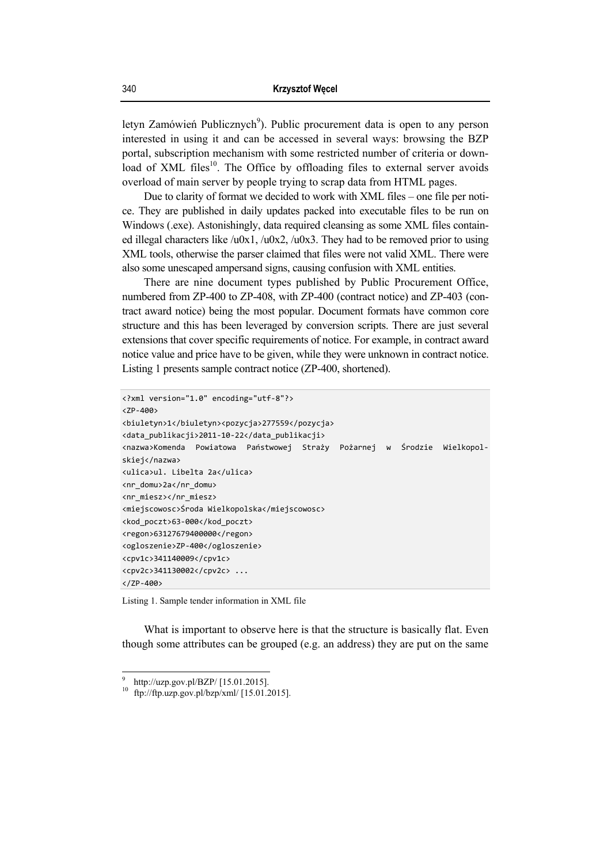letyn Zamówień Publicznych<sup>9</sup>). Public procurement data is open to any person interested in using it and can be accessed in several ways: browsing the BZP portal, subscription mechanism with some restricted number of criteria or download of XML files<sup>10</sup>. The Office by offloading files to external server avoids overload of main server by people trying to scrap data from HTML pages.

Due to clarity of format we decided to work with XML files – one file per notice. They are published in daily updates packed into executable files to be run on Windows (.exe). Astonishingly, data required cleansing as some XML files contained illegal characters like /u0x1, /u0x2, /u0x3. They had to be removed prior to using XML tools, otherwise the parser claimed that files were not valid XML. There were also some unescaped ampersand signs, causing confusion with XML entities.

There are nine document types published by Public Procurement Office, numbered from ZP-400 to ZP-408, with ZP-400 (contract notice) and ZP-403 (contract award notice) being the most popular. Document formats have common core structure and this has been leveraged by conversion scripts. There are just several extensions that cover specific requirements of notice. For example, in contract award notice value and price have to be given, while they were unknown in contract notice. Listing 1 presents sample contract notice (ZP-400, shortened).

```
<?xml version="1.0" encoding="utf-8"?> 
\langle 7P - 499 \rangle<biuletyn>1</biuletyn><pozycja>277559</pozycja> 
<data_publikacji>2011-10-22</data_publikacji> 
<nazwa>Komenda Powiatowa Państwowej Straży Pożarnej w Środzie Wielkopol-
skiej</nazwa> 
<ulica>ul. Libelta 2a</ulica> 
<nr_domu>2a</nr_domu> 
<nr_miesz></nr_miesz> 
<miejscowosc>Środa Wielkopolska</miejscowosc> 
<kod_poczt>63-000</kod_poczt> 
<regon>63127679400000</regon> 
<ogloszenie>ZP-400</ogloszenie> 
<cpv1c>341140009</cpv1c> 
<cpv2c>341130002</cpv2c> ... 
</ZP-400>
```
Listing 1. Sample tender information in XML file

What is important to observe here is that the structure is basically flat. Even though some attributes can be grouped (e.g. an address) they are put on the same

 9 http://uzp.gov.pl/BZP/ [15.01.2015].

 $^{10}$  ftp://ftp.uzp.gov.pl/bzp/xml/ [15.01.2015].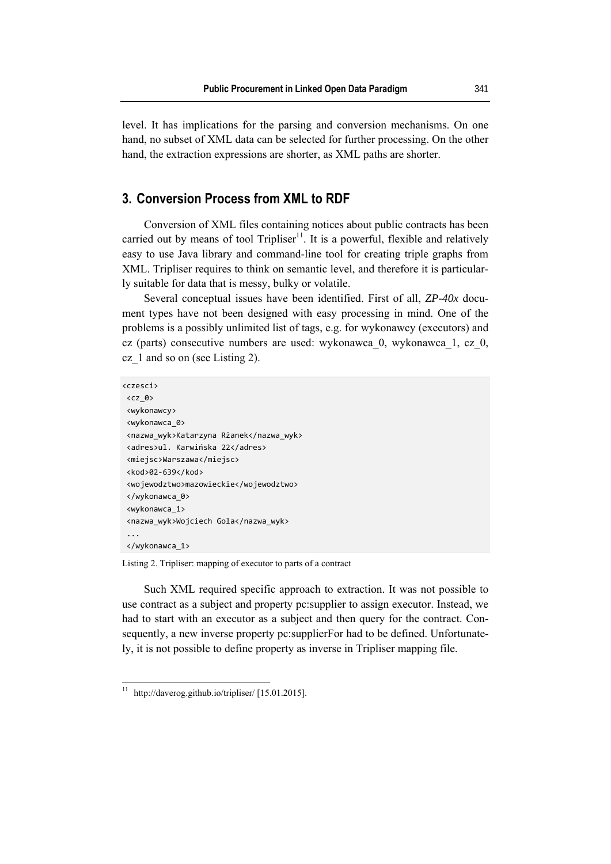level. It has implications for the parsing and conversion mechanisms. On one hand, no subset of XML data can be selected for further processing. On the other hand, the extraction expressions are shorter, as XML paths are shorter.

# **3. Conversion Process from XML to RDF**

Conversion of XML files containing notices about public contracts has been carried out by means of tool Tripliser<sup>11</sup>. It is a powerful, flexible and relatively easy to use Java library and command-line tool for creating triple graphs from XML. Tripliser requires to think on semantic level, and therefore it is particularly suitable for data that is messy, bulky or volatile.

Several conceptual issues have been identified. First of all, *ZP-40x* document types have not been designed with easy processing in mind. One of the problems is a possibly unlimited list of tags, e.g. for wykonawcy (executors) and cz (parts) consecutive numbers are used: wykonawca\_0, wykonawca\_1, cz\_0, cz\_1 and so on (see Listing 2).

```
<czesci> 
 <cz_0> 
 <wykonawcy> 
 <wykonawca_0> 
 <nazwa_wyk>Katarzyna Rżanek</nazwa_wyk> 
 <adres>ul. Karwińska 22</adres> 
 <miejsc>Warszawa</miejsc> 
 <kod>02-639</kod> 
 <wojewodztwo>mazowieckie</wojewodztwo> 
 </wykonawca_0> 
 <wykonawca_1> 
 <nazwa_wyk>Wojciech Gola</nazwa_wyk> 
  ... 
 </wykonawca_1>
```
Listing 2. Tripliser: mapping of executor to parts of a contract

Such XML required specific approach to extraction. It was not possible to use contract as a subject and property pc:supplier to assign executor. Instead, we had to start with an executor as a subject and then query for the contract. Consequently, a new inverse property pc:supplierFor had to be defined. Unfortunately, it is not possible to define property as inverse in Tripliser mapping file.

 $\overline{\phantom{a}}$ 

 $11$  http://daverog.github.io/tripliser/ [15.01.2015].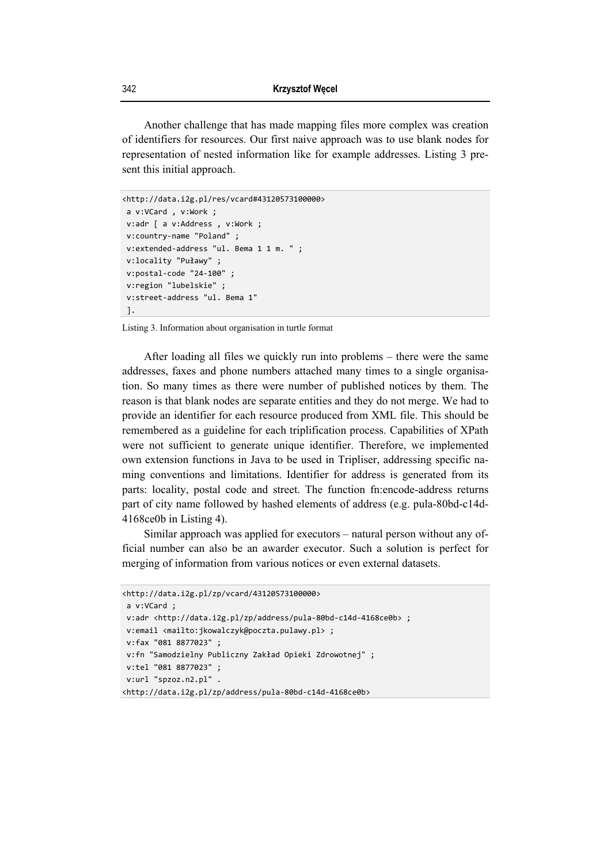Another challenge that has made mapping files more complex was creation of identifiers for resources. Our first naive approach was to use blank nodes for representation of nested information like for example addresses. Listing 3 present this initial approach.

```
<http://data.i2g.pl/res/vcard#43120573100000> 
 a v:VCard , v:Work ; 
 v:adr [ a v:Address , v:Work ; 
 v:country-name "Poland" ; 
 v:extended-address "ul. Bema 1 1 m. " ; 
 v:locality "Puławy" ; 
 v:postal-code "24-100" ; 
 v:region "lubelskie" ; 
 v:street-address "ul. Bema 1" 
 ].
```
Listing 3. Information about organisation in turtle format

After loading all files we quickly run into problems – there were the same addresses, faxes and phone numbers attached many times to a single organisation. So many times as there were number of published notices by them. The reason is that blank nodes are separate entities and they do not merge. We had to provide an identifier for each resource produced from XML file. This should be remembered as a guideline for each triplification process. Capabilities of XPath were not sufficient to generate unique identifier. Therefore, we implemented own extension functions in Java to be used in Tripliser, addressing specific naming conventions and limitations. Identifier for address is generated from its parts: locality, postal code and street. The function fn:encode-address returns part of city name followed by hashed elements of address (e.g. pula-80bd-c14d-4168ce0b in Listing 4).

Similar approach was applied for executors – natural person without any official number can also be an awarder executor. Such a solution is perfect for merging of information from various notices or even external datasets.

```
<http://data.i2g.pl/zp/vcard/43120573100000> 
 a v:VCard ; 
v:adr <http://data.i2g.pl/zp/address/pula-80bd-c14d-4168ce0b> ;
 v:email <mailto:jkowalczyk@poczta.pulawy.pl> ; 
 v:fax "081 8877023" ; 
 v:fn "Samodzielny Publiczny Zakład Opieki Zdrowotnej" ; 
 v:tel "081 8877023" ; 
 v:url "spzoz.n2.pl" . 
<http://data.i2g.pl/zp/address/pula-80bd-c14d-4168ce0b>
```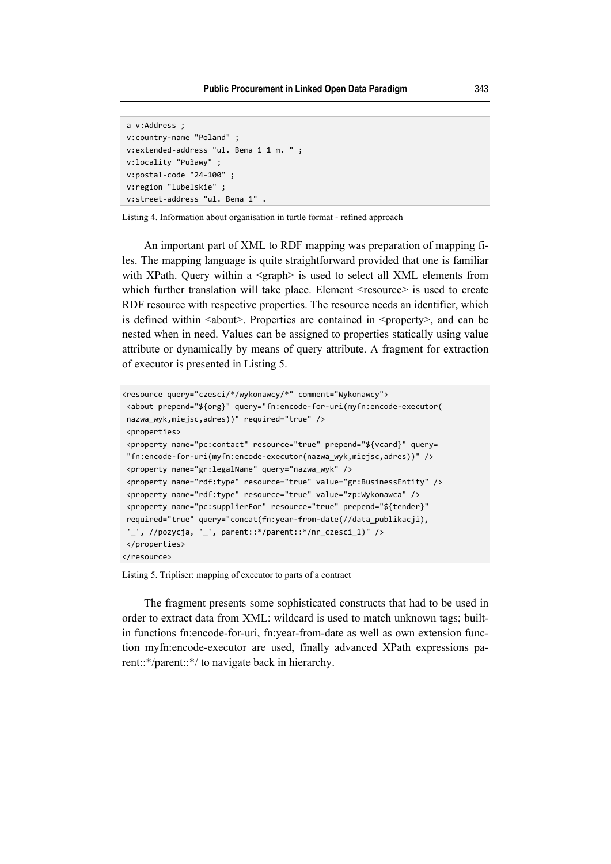```
 a v:Address ; 
 v:country-name "Poland" ; 
 v:extended-address "ul. Bema 1 1 m. " ; 
 v:locality "Puławy" ; 
 v:postal-code "24-100" ; 
 v:region "lubelskie" ; 
 v:street-address "ul. Bema 1" .
```
Listing 4. Information about organisation in turtle format - refined approach

An important part of XML to RDF mapping was preparation of mapping files. The mapping language is quite straightforward provided that one is familiar with XPath. Query within a <graph> is used to select all XML elements from which further translation will take place. Element <resource> is used to create RDF resource with respective properties. The resource needs an identifier, which is defined within  $\leq$  about >. Properties are contained in  $\leq$  property  $\geq$ , and can be nested when in need. Values can be assigned to properties statically using value attribute or dynamically by means of query attribute. A fragment for extraction of executor is presented in Listing 5.

```
<resource query="czesci/*/wykonawcy/*" comment="Wykonawcy"> 
 <about prepend="${org}" query="fn:encode-for-uri(myfn:encode-executor( 
 nazwa_wyk,miejsc,adres))" required="true" /> 
 <properties> 
 <property name="pc:contact" resource="true" prepend="${vcard}" query= 
  "fn:encode-for-uri(myfn:encode-executor(nazwa_wyk,miejsc,adres))" /> 
 <property name="gr:legalName" query="nazwa_wyk" /> 
 <property name="rdf:type" resource="true" value="gr:BusinessEntity" /> 
 <property name="rdf:type" resource="true" value="zp:Wykonawca" /> 
 <property name="pc:supplierFor" resource="true" prepend="${tender}" 
 required="true" query="concat(fn:year-from-date(//data_publikacji), 
  '_', //pozycja, '_', parent::*/parent::*/nr_czesci_1)" /> 
 </properties> 
</resource>
```
Listing 5. Tripliser: mapping of executor to parts of a contract

The fragment presents some sophisticated constructs that had to be used in order to extract data from XML: wildcard is used to match unknown tags; builtin functions fn:encode-for-uri, fn:year-from-date as well as own extension function myfn:encode-executor are used, finally advanced XPath expressions parent::\*/parent::\*/ to navigate back in hierarchy.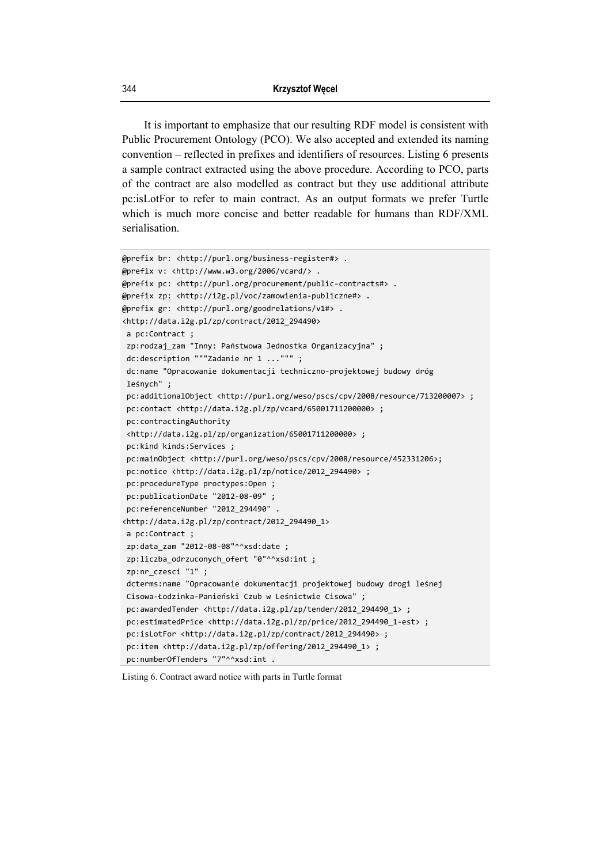It is important to emphasize that our resulting RDF model is consistent with Public Procurement Ontology (PCO). We also accepted and extended its naming convention – reflected in prefixes and identifiers of resources. Listing 6 presents a sample contract extracted using the above procedure. According to PCO, parts of the contract are also modelled as contract but they use additional attribute pc:isLotFor to refer to main contract. As an output formats we prefer Turtle which is much more concise and better readable for humans than RDF/XML serialisation.

```
@prefix br: <http://purl.org/business-register#> . 
@prefix v: <http://www.w3.org/2006/vcard/> . 
@prefix pc: <http://purl.org/procurement/public-contracts#> . 
@prefix zp: <http://i2g.pl/voc/zamowienia-publiczne#> . 
@prefix gr: <http://purl.org/goodrelations/v1#> . 
<http://data.i2g.pl/zp/contract/2012_294490> 
  a pc:Contract ; 
 zp:rodzaj_zam "Inny: Państwowa Jednostka Organizacyjna" ; 
 dc:description """Zadanie nr 1 ...""" ; 
  dc:name "Opracowanie dokumentacji techniczno-projektowej budowy dróg 
  leśnych" ; 
  pc:additionalObject <http://purl.org/weso/pscs/cpv/2008/resource/713200007> ; 
  pc:contact <http://data.i2g.pl/zp/vcard/65001711200000> ; 
  pc:contractingAuthority 
  <http://data.i2g.pl/zp/organization/65001711200000> ; 
  pc:kind kinds:Services ; 
  pc:mainObject <http://purl.org/weso/pscs/cpv/2008/resource/452331206>; 
  pc:notice <http://data.i2g.pl/zp/notice/2012_294490> ; 
  pc:procedureType proctypes:Open ; 
  pc:publicationDate "2012-08-09" ; 
  pc:referenceNumber "2012_294490" . 
<http://data.i2g.pl/zp/contract/2012_294490_1> 
  a pc:Contract ; 
  zp:data_zam "2012-08-08"^^xsd:date ; 
 zp:liczba odrzuconych ofert "0"^^xsd:int ;
  zp:nr_czesci "1" ; 
  dcterms:name "Opracowanie dokumentacji projektowej budowy drogi leśnej 
 Cisowa-Łodzinka-Panieński Czub w Leśnictwie Cisowa" ; 
  pc:awardedTender <http://data.i2g.pl/zp/tender/2012_294490_1> ; 
  pc:estimatedPrice <http://data.i2g.pl/zp/price/2012_294490_1-est> ; 
  pc:isLotFor <http://data.i2g.pl/zp/contract/2012_294490> ; 
  pc:item <http://data.i2g.pl/zp/offering/2012_294490_1> ; 
 pc:numberOfTenders "7"^^xsd:int .
```
#### Listing 6. Contract award notice with parts in Turtle format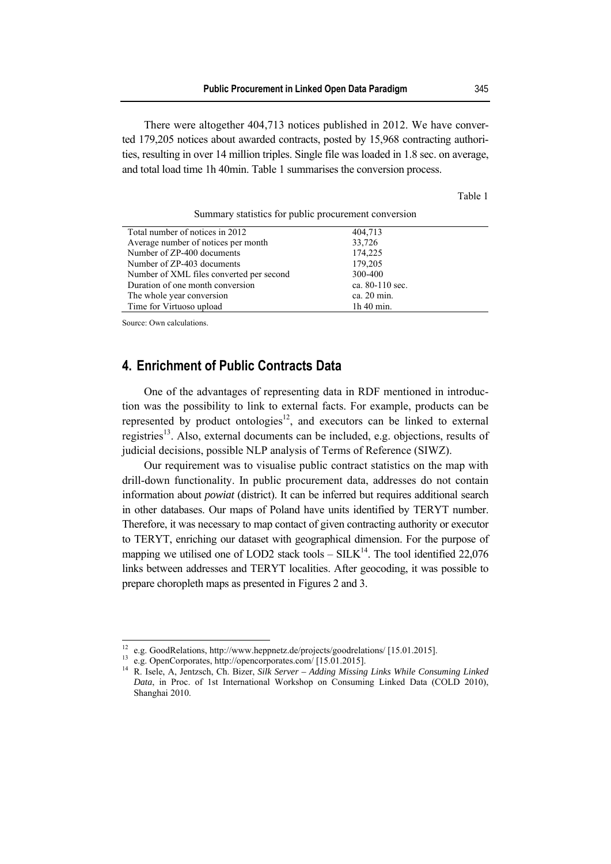There were altogether 404,713 notices published in 2012. We have converted 179,205 notices about awarded contracts, posted by 15,968 contracting authorities, resulting in over 14 million triples. Single file was loaded in 1.8 sec. on average, and total load time 1h 40min. Table 1 summarises the conversion process.

Table 1

| Summary statistics for public procurement conversion |  |  |  |  |  |  |
|------------------------------------------------------|--|--|--|--|--|--|
|------------------------------------------------------|--|--|--|--|--|--|

| Total number of notices in 2012          | 404,713         |
|------------------------------------------|-----------------|
| Average number of notices per month      | 33,726          |
| Number of ZP-400 documents               | 174,225         |
| Number of ZP-403 documents               | 179,205         |
| Number of XML files converted per second | 300-400         |
| Duration of one month conversion         | ca. 80-110 sec. |
| The whole year conversion                | ca. 20 min.     |
| Time for Virtuoso upload                 | $1h$ 40 min.    |

Source: Own calculations.

 $\overline{\phantom{a}}$ 

# **4. Enrichment of Public Contracts Data**

One of the advantages of representing data in RDF mentioned in introduction was the possibility to link to external facts. For example, products can be represented by product ontologies<sup>12</sup>, and executors can be linked to external registries<sup>13</sup>. Also, external documents can be included, e.g. objections, results of judicial decisions, possible NLP analysis of Terms of Reference (SIWZ).

Our requirement was to visualise public contract statistics on the map with drill-down functionality. In public procurement data, addresses do not contain information about *powiat* (district). It can be inferred but requires additional search in other databases. Our maps of Poland have units identified by TERYT number. Therefore, it was necessary to map contact of given contracting authority or executor to TERYT, enriching our dataset with geographical dimension. For the purpose of mapping we utilised one of LOD2 stack tools –  $SILK^{14}$ . The tool identified 22,076 links between addresses and TERYT localities. After geocoding, it was possible to prepare choropleth maps as presented in Figures 2 and 3.

<sup>&</sup>lt;sup>12</sup> e.g. GoodRelations, http://www.heppnetz.de/projects/goodrelations/ [15.01.2015].<br><sup>13</sup> e.g. OpenCorporates, http://opencorporates.com/ [15.01.2015].

<sup>&</sup>lt;sup>13</sup> e.g. OpenCorporates, http://opencorporates.com/ [15.01.2015].<br><sup>14</sup> R. Isele, A. Jentzsch, Ch. Bizer, *Silk Server – Adding Missing Links While Consuming Linked Data*, in Proc. of 1st International Workshop on Consuming Linked Data (COLD 2010), Shanghai 2010.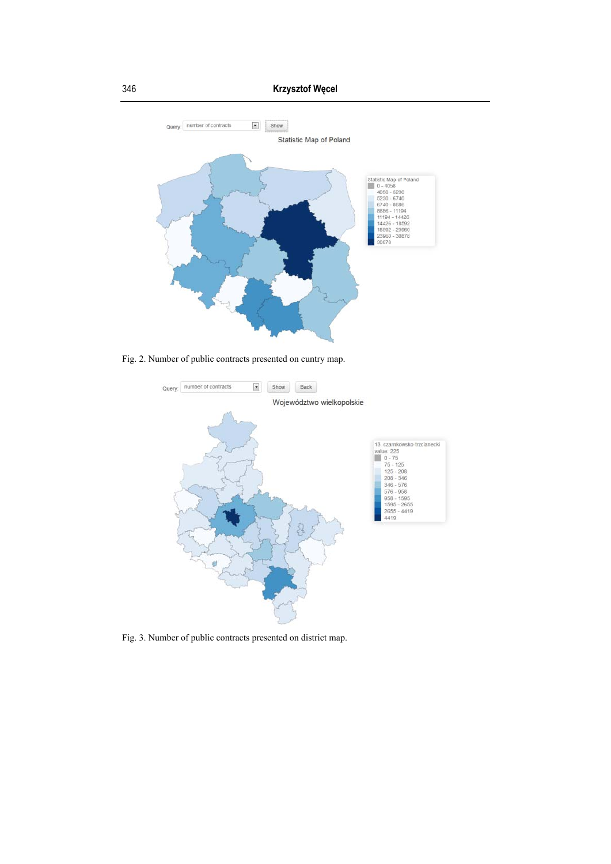

Fig. 2. Number of public contracts presented on cuntry map.



Fig. 3. Number of public contracts presented on district map.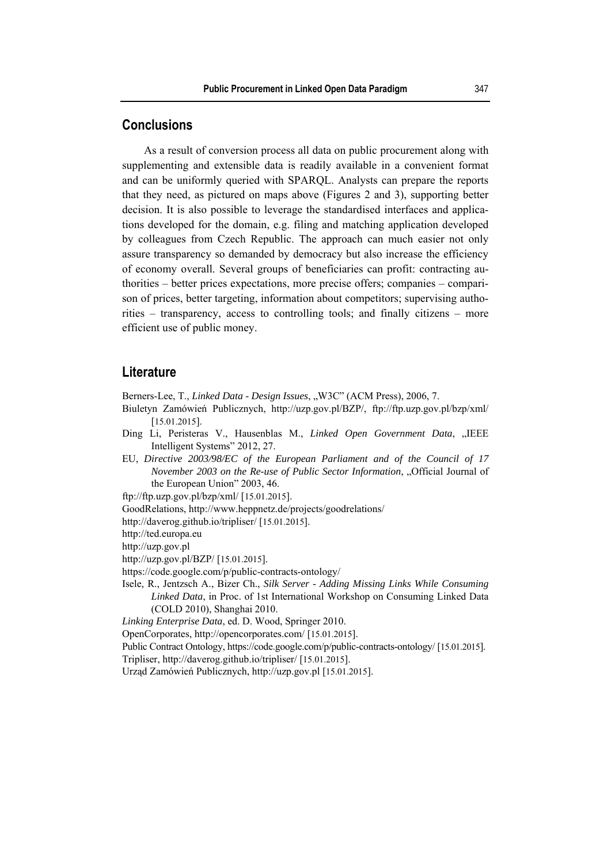# **Conclusions**

As a result of conversion process all data on public procurement along with supplementing and extensible data is readily available in a convenient format and can be uniformly queried with SPARQL. Analysts can prepare the reports that they need, as pictured on maps above (Figures 2 and 3), supporting better decision. It is also possible to leverage the standardised interfaces and applications developed for the domain, e.g. filing and matching application developed by colleagues from Czech Republic. The approach can much easier not only assure transparency so demanded by democracy but also increase the efficiency of economy overall. Several groups of beneficiaries can profit: contracting authorities – better prices expectations, more precise offers; companies – comparison of prices, better targeting, information about competitors; supervising authorities – transparency, access to controlling tools; and finally citizens – more efficient use of public money.

### **Literature**

Berners-Lee, T., *Linked Data - Design Issues*, "W3C" (ACM Press), 2006, 7.

- Biuletyn Zamówień Publicznych, http://uzp.gov.pl/BZP/, ftp://ftp.uzp.gov.pl/bzp/xml/ [15.01.2015].
- Ding Li, Peristeras V., Hausenblas M., *Linked Open Government Data*, "IEEE Intelligent Systems" 2012, 27.
- EU, *Directive 2003/98/EC of the European Parliament and of the Council of 17 November 2003 on the Re-use of Public Sector Information, "Official Journal of* the European Union" 2003, 46.

ftp://ftp.uzp.gov.pl/bzp/xml/ [15.01.2015].

GoodRelations, http://www.heppnetz.de/projects/goodrelations/

http://daverog.github.io/tripliser/ [15.01.2015].

http://ted.europa.eu

http://uzp.gov.pl

http://uzp.gov.pl/BZP/ [15.01.2015].

https://code.google.com/p/public-contracts-ontology/

Isele, R., Jentzsch A., Bizer Ch., *Silk Server - Adding Missing Links While Consuming Linked Data*, in Proc. of 1st International Workshop on Consuming Linked Data (COLD 2010), Shanghai 2010.

*Linking Enterprise Data*, ed. D. Wood, Springer 2010.

OpenCorporates, http://opencorporates.com/ [15.01.2015].

Public Contract Ontology, https://code.google.com/p/public-contracts-ontology/ [15.01.2015].

Tripliser, http://daverog.github.io/tripliser/ [15.01.2015].

Urząd Zamówień Publicznych, http://uzp.gov.pl [15.01.2015].